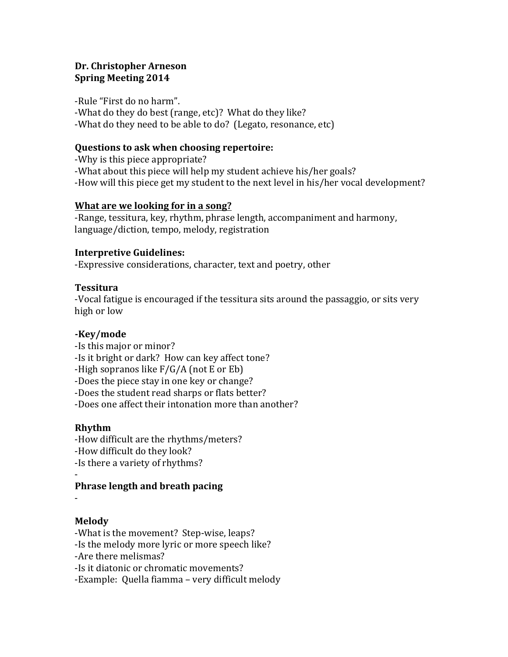# **Dr. Christopher Arneson Spring Meeting 2014**

-Rule "First do no harm". -What do they do best (range, etc)? What do they like? -What do they need to be able to do? (Legato, resonance, etc)

## **Questions to ask when choosing repertoire:**

-Why is this piece appropriate? -What about this piece will help my student achieve his/her goals? -How will this piece get my student to the next level in his/her vocal development?

## **What are we looking for in a song?**

-Range, tessitura, key, rhythm, phrase length, accompaniment and harmony, language/diction, tempo, melody, registration

## **Interpretive Guidelines:**

-Expressive considerations, character, text and poetry, other

## **Tessitura**

-Vocal fatigue is encouraged if the tessitura sits around the passaggio, or sits very high or low

# **-Key/mode**

- -Is this major or minor?
- -Is it bright or dark? How can key affect tone?
- -High sopranos like  $F/G/A$  (not E or Eb)
- -Does the piece stay in one key or change?
- -Does the student read sharps or flats better?
- -Does one affect their intonation more than another?

## **Rhythm**

- -How difficult are the rhythms/meters? -How difficult do they look?
- -Is there a variety of rhythms?

#### - **Phrase length and breath pacing**

-

# **Melody**

- -What is the movement? Step-wise, leaps?
- -Is the melody more lyric or more speech like?
- -Are there melismas?
- -Is it diatonic or chromatic movements?
- -Example: Quella fiamma very difficult melody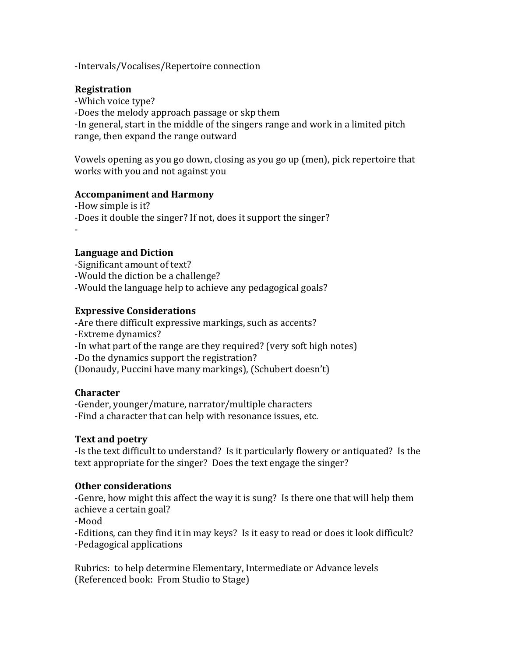-Intervals/Vocalises/Repertoire connection

### **Registration**

-Which voice type? -Does the melody approach passage or skp them -In general, start in the middle of the singers range and work in a limited pitch range, then expand the range outward

Vowels opening as you go down, closing as you go up (men), pick repertoire that works with you and not against you

#### **Accompaniment and Harmony**

-How simple is it? -Does it double the singer? If not, does it support the singer? -

### Language and Diction

-Significant amount of text? -Would the diction be a challenge? -Would the language help to achieve any pedagogical goals?

### **Expressive Considerations**

-Are there difficult expressive markings, such as accents? -Extreme dynamics? -In what part of the range are they required? (very soft high notes) -Do the dynamics support the registration? (Donaudy, Puccini have many markings), (Schubert doesn't)

#### **Character**

-Gender, younger/mature, narrator/multiple characters -Find a character that can help with resonance issues, etc.

#### **Text and poetry**

-Is the text difficult to understand? Is it particularly flowery or antiquated? Is the text appropriate for the singer? Does the text engage the singer?

#### **Other considerations**

-Genre, how might this affect the way it is sung? Is there one that will help them achieve a certain goal?

-Mood

-Editions, can they find it in may keys? Is it easy to read or does it look difficult? -Pedagogical applications

Rubrics: to help determine Elementary, Intermediate or Advance levels (Referenced book: From Studio to Stage)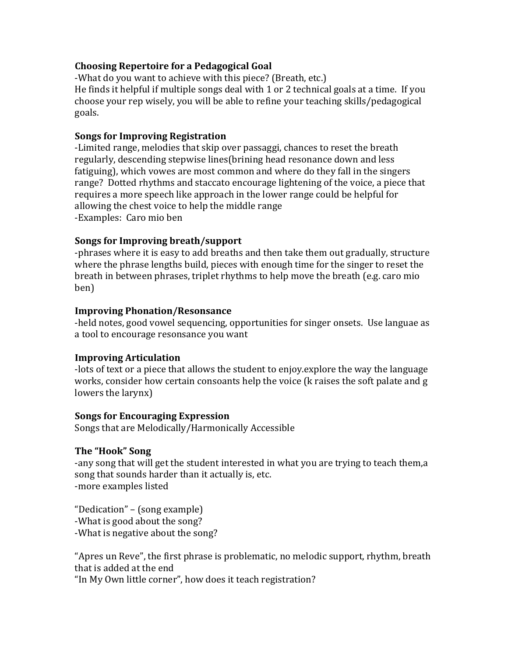## **Choosing Repertoire for a Pedagogical Goal**

-What do you want to achieve with this piece? (Breath, etc.) He finds it helpful if multiple songs deal with  $1$  or  $2$  technical goals at a time. If you choose your rep wisely, you will be able to refine your teaching skills/pedagogical goals.

## **Songs for Improving Registration**

-Limited range, melodies that skip over passaggi, chances to reset the breath regularly, descending stepwise lines(brining head resonance down and less fatiguing), which vowes are most common and where do they fall in the singers range? Dotted rhythms and staccato encourage lightening of the voice, a piece that requires a more speech like approach in the lower range could be helpful for allowing the chest voice to help the middle range -Examples: Caro mio ben

## **Songs for Improving breath/support**

-phrases where it is easy to add breaths and then take them out gradually, structure where the phrase lengths build, pieces with enough time for the singer to reset the breath in between phrases, triplet rhythms to help move the breath (e.g. caro mio ben)

## **Improving Phonation/Resonsance**

-held notes, good vowel sequencing, opportunities for singer onsets. Use languae as a tool to encourage resonsance you want

## **Improving Articulation**

-lots of text or a piece that allows the student to enjoy.explore the way the language works, consider how certain consoants help the voice (k raises the soft palate and g lowers the larynx)

## **Songs for Encouraging Expression**

Songs that are Melodically/Harmonically Accessible

# The "Hook" Song

-any song that will get the student interested in what you are trying to teach them,a song that sounds harder than it actually is, etc. -more examples listed

"Dedication" – (song example) -What is good about the song? -What is negative about the song?

"Apres un Reve", the first phrase is problematic, no melodic support, rhythm, breath that is added at the end

"In My Own little corner", how does it teach registration?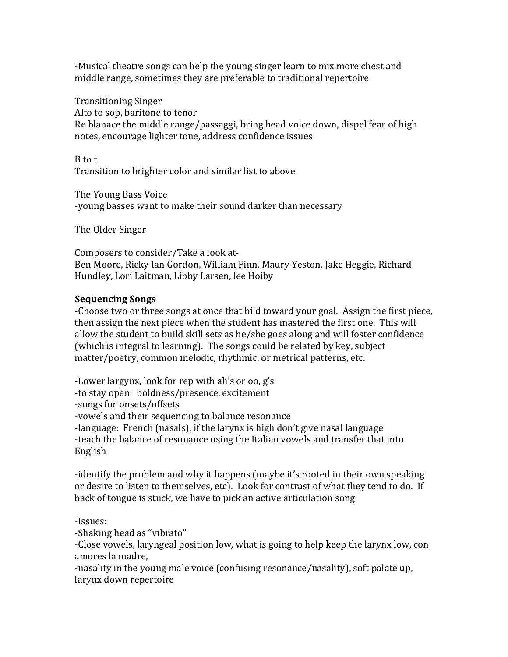-Musical theatre songs can help the young singer learn to mix more chest and middle range, sometimes they are preferable to traditional repertoire

Transitioning Singer Alto to sop, baritone to tenor Re blanace the middle range/passaggi, bring head voice down, dispel fear of high notes, encourage lighter tone, address confidence issues

B to t Transition to brighter color and similar list to above

The Young Bass Voice -young basses want to make their sound darker than necessary

The Older Singer

Composers to consider/Take a look at-Ben Moore, Ricky Ian Gordon, William Finn, Maury Yeston, Jake Heggie, Richard Hundley, Lori Laitman, Libby Larsen, lee Hoiby

# **Sequencing Songs**

-Choose two or three songs at once that bild toward your goal. Assign the first piece, then assign the next piece when the student has mastered the first one. This will allow the student to build skill sets as he/she goes along and will foster confidence (which is integral to learning). The songs could be related by key, subject matter/poetry, common melodic, rhythmic, or metrical patterns, etc.

-Lower largynx, look for rep with ah's or oo,  $g's$ -to stay open: boldness/presence, excitement -songs for onsets/offsets -vowels and their sequencing to balance resonance -language: French (nasals), if the larynx is high don't give nasal language -teach the balance of resonance using the Italian vowels and transfer that into English

-identify the problem and why it happens (maybe it's rooted in their own speaking or desire to listen to themselves, etc). Look for contrast of what they tend to do. If back of tongue is stuck, we have to pick an active articulation song

-Issues:

-Shaking head as "vibrato"

-Close vowels, laryngeal position low, what is going to help keep the larynx low, con amores la madre.

-nasality in the young male voice (confusing resonance/nasality), soft palate up, larynx down repertoire